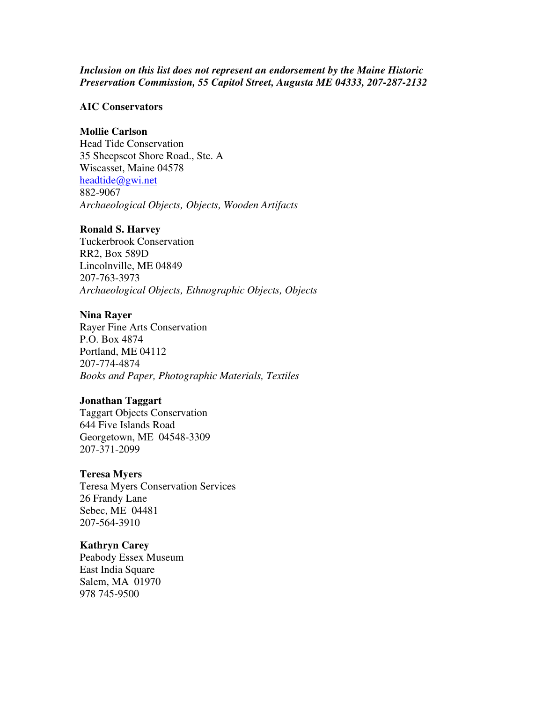## *Inclusion on this list does not represent an endorsement by the Maine Historic Preservation Commission, 55 Capitol Street, Augusta ME 04333, 207-287-2132*

## **AIC Conservators**

## **Mollie Carlson**

Head Tide Conservation 35 Sheepscot Shore Road., Ste. A Wiscasset, Maine 04578 headtide@gwi.net 882-9067 *Archaeological Objects, Objects, Wooden Artifacts*

## **Ronald S. Harvey**

Tuckerbrook Conservation RR2, Box 589D Lincolnville, ME 04849 207-763-3973 *Archaeological Objects, Ethnographic Objects, Objects*

## **Nina Rayer**

Rayer Fine Arts Conservation P.O. Box 4874 Portland, ME 04112 207-774-4874 *Books and Paper, Photographic Materials, Textiles*

### **Jonathan Taggart**

Taggart Objects Conservation 644 Five Islands Road Georgetown, ME 04548-3309 207-371-2099

## **Teresa Myers**

Teresa Myers Conservation Services 26 Frandy Lane Sebec, ME 04481 207-564-3910

### **Kathryn Carey**

Peabody Essex Museum East India Square Salem, MA 01970 978 745-9500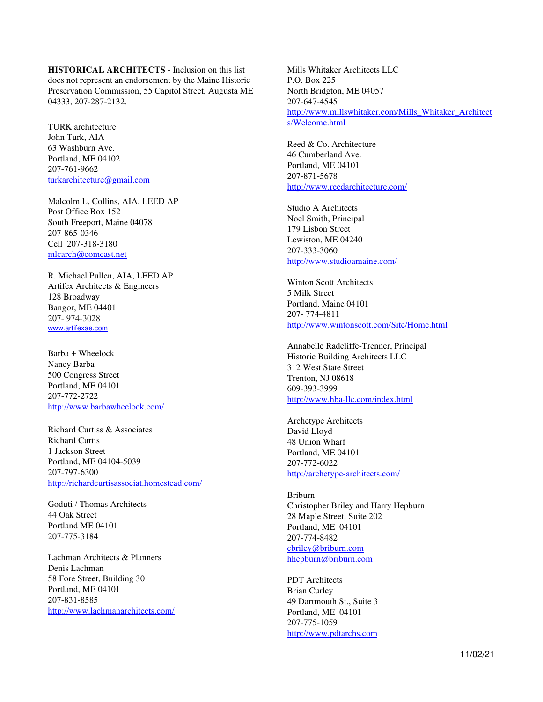**HISTORICAL ARCHITECTS** - Inclusion on this list does not represent an endorsement by the Maine Historic Preservation Commission, 55 Capitol Street, Augusta ME 04333, 207-287-2132.

TURK architecture John Turk, AIA 63 Washburn Ave. Portland, ME 04102 207-761-9662 turkarchitecture@gmail.com

Malcolm L. Collins, AIA, LEED AP Post Office Box 152 South Freeport, Maine 04078 207-865-0346 Cell 207-318-3180 mlcarch@comcast.net

R. Michael Pullen, AIA, LEED AP Artifex Architects & Engineers 128 Broadway Bangor, ME 04401 207- 974-3028 www.artifexae.com

Barba + Wheelock Nancy Barba 500 Congress Street Portland, ME 04101 207-772-2722 http://www.barbawheelock.com/

Richard Curtiss & Associates Richard Curtis 1 Jackson Street Portland, ME 04104-5039 207-797-6300 http://richardcurtisassociat.homestead.com/

Goduti / Thomas Architects 44 Oak Street Portland ME 04101 207-775-3184

Lachman Architects & Planners Denis Lachman 58 Fore Street, Building 30 Portland, ME 04101 207-831-8585 http://www.lachmanarchitects.com/

Mills Whitaker Architects LLC P.O. Box 225 North Bridgton, ME 04057 207-647-4545 http://www.millswhitaker.com/Mills\_Whitaker\_Architect s/Welcome.html

Reed & Co. Architecture 46 Cumberland Ave. Portland, ME 04101 207-871-5678 http://www.reedarchitecture.com/

Studio A Architects Noel Smith, Principal 179 Lisbon Street Lewiston, ME 04240 207-333-3060 http://www.studioamaine.com/

Winton Scott Architects 5 Milk Street Portland, Maine 04101 207- 774-4811 http://www.wintonscott.com/Site/Home.html

Annabelle Radcliffe-Trenner, Principal Historic Building Architects LLC 312 West State Street Trenton, NJ 08618 609-393-3999 http://www.hba-llc.com/index.html

Archetype Architects David Lloyd 48 Union Wharf Portland, ME 04101 207-772-6022 http://archetype-architects.com/

Briburn Christopher Briley and Harry Hepburn 28 Maple Street, Suite 202 Portland, ME 04101 207-774-8482 cbriley@briburn.com hhepburn@briburn.com

PDT Architects Brian Curley 49 Dartmouth St., Suite 3 Portland, ME 04101 207-775-1059 http://www.pdtarchs.com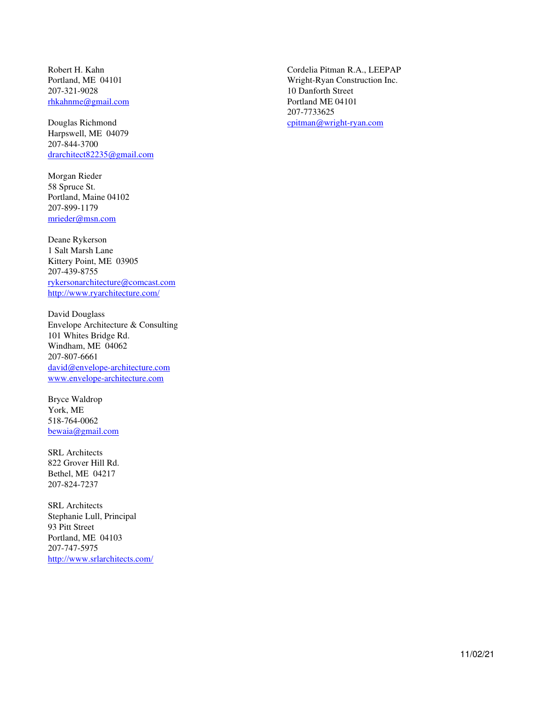Robert H. Kahn Portland, ME 04101 207-321-9028 rhkahnme@gmail.com

Douglas Richmond Harpswell, ME 04079 207-844-3700 drarchitect82235@gmail.com

Morgan Rieder 58 Spruce St. Portland, Maine 04102 207-899-1179 mrieder@msn.com

Deane Rykerson 1 Salt Marsh Lane Kittery Point, ME 03905 207-439-8755 rykersonarchitecture@comcast.com http://www.ryarchitecture.com/

David Douglass Envelope Architecture & Consulting 101 Whites Bridge Rd. Windham, ME 04062 207-807-6661 david@envelope-architecture.com www.envelope-architecture.com

Bryce Waldrop York, ME 518-764-0062 bewaia@gmail.com

SRL Architects 822 Grover Hill Rd. Bethel, ME 04217 207-824-7237

SRL Architects Stephanie Lull, Principal 93 Pitt Street Portland, ME 04103 207-747-5975 http://www.srlarchitects.com/

Cordelia Pitman R.A., LEEPAP Wright-Ryan Construction Inc. 10 Danforth Street Portland ME 04101 207-7733625 cpitman@wright-ryan.com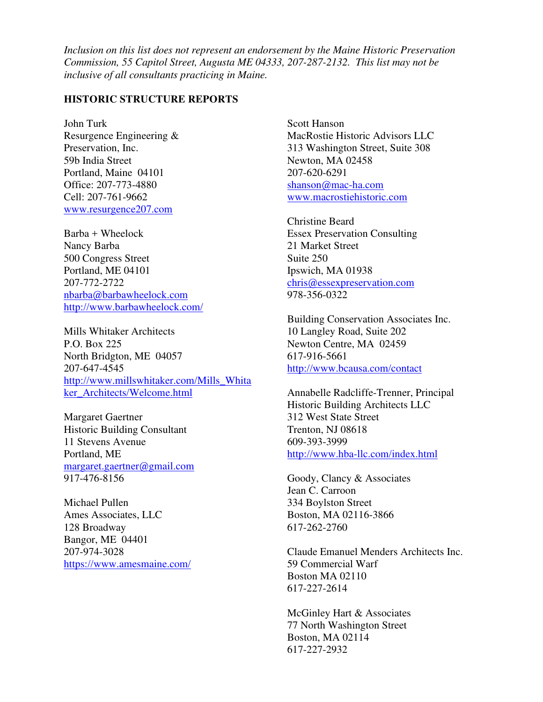*Inclusion on this list does not represent an endorsement by the Maine Historic Preservation Commission, 55 Capitol Street, Augusta ME 04333, 207-287-2132. This list may not be inclusive of all consultants practicing in Maine.* 

## **HISTORIC STRUCTURE REPORTS**

John Turk Resurgence Engineering & Preservation, Inc. 59b India Street Portland, Maine 04101 Office: 207-773-4880 Cell: 207-761-9662 www.resurgence207.com

Barba + Wheelock Nancy Barba 500 Congress Street Portland, ME 04101 207-772-2722 nbarba@barbawheelock.com http://www.barbawheelock.com/

Mills Whitaker Architects P.O. Box 225 North Bridgton, ME 04057 207-647-4545 http://www.millswhitaker.com/Mills\_Whita ker\_Architects/Welcome.html

Margaret Gaertner Historic Building Consultant 11 Stevens Avenue Portland, ME margaret.gaertner@gmail.com 917-476-8156

Michael Pullen Ames Associates, LLC 128 Broadway Bangor, ME 04401 207-974-3028 https://www.amesmaine.com/ Scott Hanson MacRostie Historic Advisors LLC 313 Washington Street, Suite 308 Newton, MA 02458 207-620-6291 shanson@mac-ha.com www.macrostiehistoric.com

Christine Beard Essex Preservation Consulting 21 Market Street Suite 250 Ipswich, MA 01938 chris@essexpreservation.com 978-356-0322

Building Conservation Associates Inc. 10 Langley Road, Suite 202 Newton Centre, MA 02459 617-916-5661 http://www.bcausa.com/contact

Annabelle Radcliffe-Trenner, Principal Historic Building Architects LLC 312 West State Street Trenton, NJ 08618 609-393-3999 http://www.hba-llc.com/index.html

Goody, Clancy & Associates Jean C. Carroon 334 Boylston Street Boston, MA 02116-3866 617-262-2760

Claude Emanuel Menders Architects Inc. 59 Commercial Warf Boston MA 02110 617-227-2614

McGinley Hart & Associates 77 North Washington Street Boston, MA 02114 617-227-2932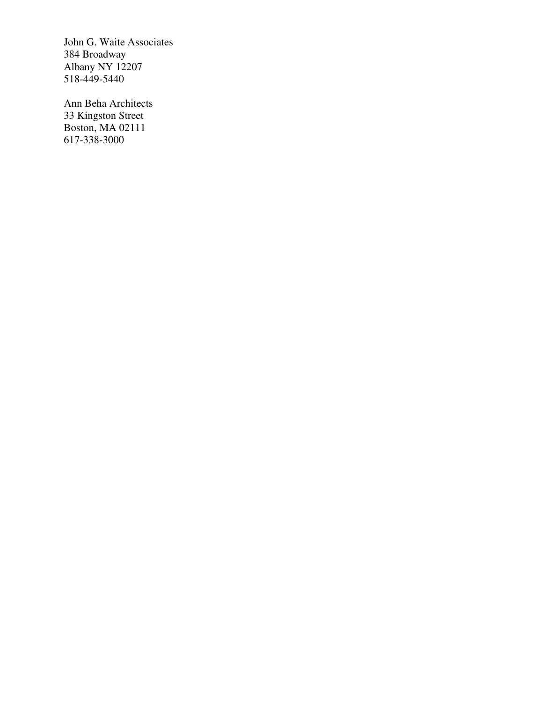John G. Waite Associates 384 Broadway Albany NY 12207 518-449-5440

Ann Beha Architects 33 Kingston Street Boston, MA 02111 617-338-3000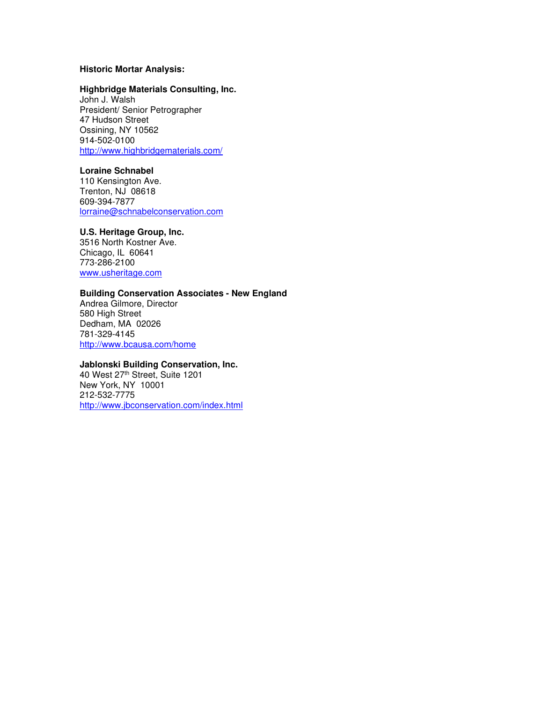#### **Historic Mortar Analysis:**

#### **Highbridge Materials Consulting, Inc.**

John J. Walsh President/ Senior Petrographer 47 Hudson Street Ossining, NY 10562 914-502-0100 http://www.highbridgematerials.com/

### **Loraine Schnabel**

110 Kensington Ave. Trenton, NJ 08618 609-394-7877 lorraine@schnabelconservation.com

#### **U.S. Heritage Group, Inc.**

3516 North Kostner Ave. Chicago, IL 60641 773-286-2100 www.usheritage.com

#### **Building Conservation Associates - New England**

Andrea Gilmore, Director 580 High Street Dedham, MA 02026 781-329-4145 http://www.bcausa.com/home

#### **Jablonski Building Conservation, Inc.**

40 West 27th Street, Suite 1201 New York, NY 10001 212-532-7775 http://www.jbconservation.com/index.html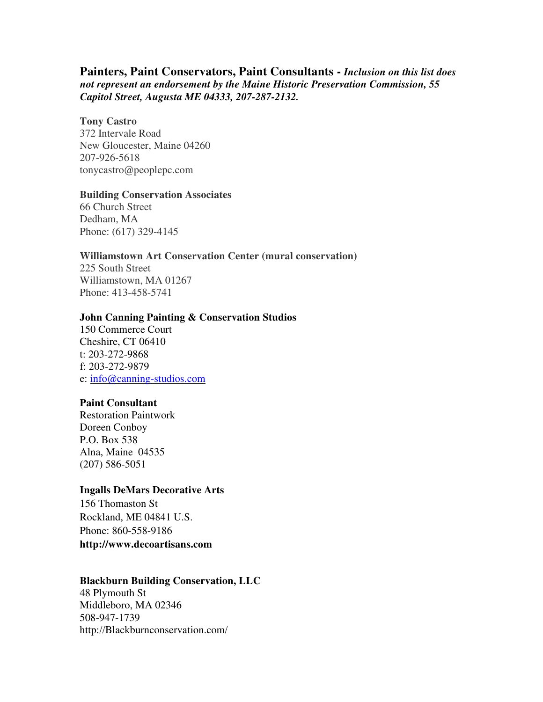# **Painters, Paint Conservators, Paint Consultants -** *Inclusion on this list does not represent an endorsement by the Maine Historic Preservation Commission, 55 Capitol Street, Augusta ME 04333, 207-287-2132.*

## **Tony Castro**

372 Intervale Road New Gloucester, Maine 04260 207-926-5618 tonycastro@peoplepc.com

### **Building Conservation Associates**

66 Church Street Dedham, MA Phone: (617) 329-4145

### **Williamstown Art Conservation Center (mural conservation)**

225 South Street Williamstown, MA 01267 Phone: 413-458-5741

## **John Canning Painting & Conservation Studios**

150 Commerce Court Cheshire, CT 06410 t: 203-272-9868 f: 203-272-9879 e: info@canning-studios.com

## **Paint Consultant**

Restoration Paintwork Doreen Conboy P.O. Box 538 Alna, Maine 04535 (207) 586-5051

## **Ingalls DeMars Decorative Arts**

156 Thomaston St Rockland, ME 04841 U.S. Phone: 860-558-9186 **http://www.decoartisans.com** 

### **Blackburn Building Conservation, LLC**

48 Plymouth St Middleboro, MA 02346 508-947-1739 http://Blackburnconservation.com/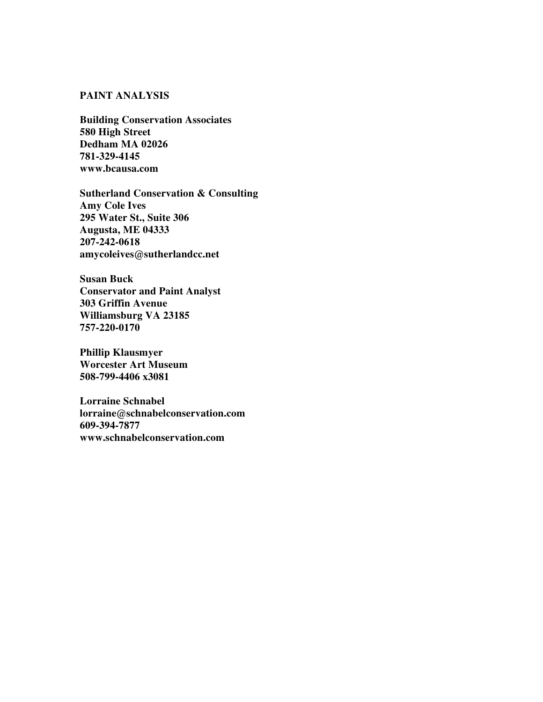## **PAINT ANALYSIS**

**Building Conservation Associates 580 High Street Dedham MA 02026 781-329-4145 www.bcausa.com**

**Sutherland Conservation & Consulting Amy Cole Ives 295 Water St., Suite 306 Augusta, ME 04333 207-242-0618 amycoleives@sutherlandcc.net** 

**Susan Buck Conservator and Paint Analyst 303 Griffin Avenue Williamsburg VA 23185 757-220-0170** 

**Phillip Klausmyer Worcester Art Museum 508-799-4406 x3081** 

**Lorraine Schnabel lorraine@schnabelconservation.com 609-394-7877 www.schnabelconservation.com**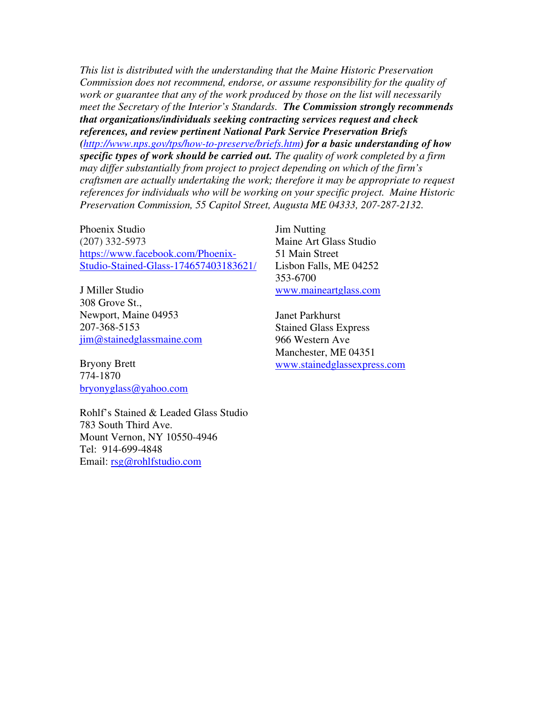*This list is distributed with the understanding that the Maine Historic Preservation Commission does not recommend, endorse, or assume responsibility for the quality of work or guarantee that any of the work produced by those on the list will necessarily meet the Secretary of the Interior's Standards. The Commission strongly recommends that organizations/individuals seeking contracting services request and check references, and review pertinent National Park Service Preservation Briefs (http://www.nps.gov/tps/how-to-preserve/briefs.htm) for a basic understanding of how specific types of work should be carried out. The quality of work completed by a firm may differ substantially from project to project depending on which of the firm's craftsmen are actually undertaking the work; therefore it may be appropriate to request references for individuals who will be working on your specific project. Maine Historic Preservation Commission, 55 Capitol Street, Augusta ME 04333, 207-287-2132.*

Phoenix Studio (207) 332-5973 https://www.facebook.com/Phoenix-Studio-Stained-Glass-174657403183621/

J Miller Studio 308 Grove St., Newport, Maine 04953 207-368-5153 jim@stainedglassmaine.com

Bryony Brett 774-1870 bryonyglass@yahoo.com

Rohlf's Stained & Leaded Glass Studio 783 South Third Ave. Mount Vernon, NY 10550-4946 Tel: 914-699-4848 Email: rsg@rohlfstudio.com

Jim Nutting Maine Art Glass Studio 51 Main Street Lisbon Falls, ME 04252 353-6700 www.maineartglass.com

Janet Parkhurst Stained Glass Express 966 Western Ave Manchester, ME 04351 www.stainedglassexpress.com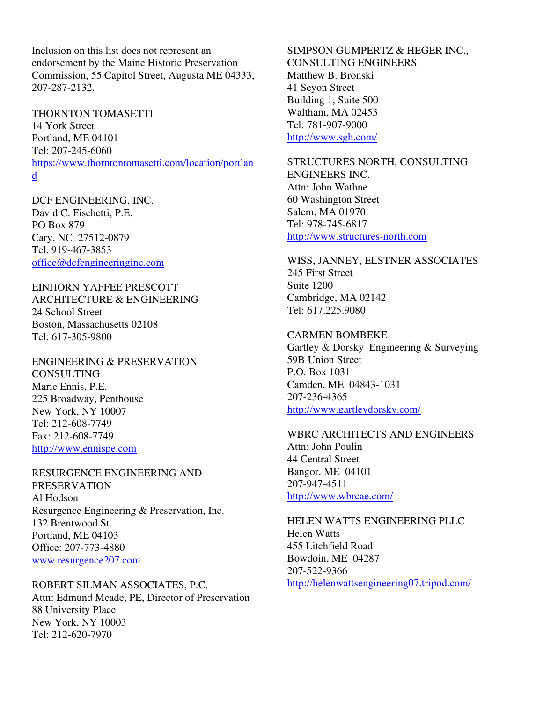Inclusion on this list does not represent an endorsement by the Maine Historic Preservation Commission, 55 Capitol Street, Augusta ME 04333, 207-287-2132.

THORNTON TOMASETTI

14 York Street Portland, ME 04101 Tel: 207-245-6060 https://www.thorntontomasetti.com/location/portlan d

DCF ENGINEERING, INC. David C. Fischetti, P.E. PO Box 879 Cary, NC 27512-0879 Tel. 919-467-3853 office@dcfengineeringinc.com

EINHORN YAFFEE PRESCOTT ARCHITECTURE & ENGINEERING 24 School Street Boston, Massachusetts 02108 Tel: 617-305-9800

ENGINEERING & PRESERVATION **CONSULTING** Marie Ennis, P.E. 225 Broadway, Penthouse New York, NY 10007 Tel: 212-608-7749 Fax: 212-608-7749 http://www.ennispe.com

RESURGENCE ENGINEERING AND PRESERVATION Al Hodson Resurgence Engineering & Preservation, Inc. 132 Brentwood St. Portland, ME 04103 Office: 207-773-4880 www.resurgence207.com

ROBERT SILMAN ASSOCIATES, P.C. Attn: Edmund Meade, PE, Director of Preservation 88 University Place New York, NY 10003 Tel: 212-620-7970

SIMPSON GUMPERTZ & HEGER INC., CONSULTING ENGINEERS Matthew B. Bronski 41 Seyon Street Building 1, Suite 500 Waltham, MA 02453 Tel: 781-907-9000 http://www.sgh.com/

STRUCTURES NORTH, CONSULTING ENGINEERS INC. Attn: John Wathne 60 Washington Street Salem, MA 01970 Tel: 978-745-6817 http://www.structures-north.com

WISS, JANNEY, ELSTNER ASSOCIATES 245 First Street Suite 1200 Cambridge, MA 02142 Tel: 617.225.9080

CARMEN BOMBEKE Gartley & Dorsky Engineering & Surveying 59B Union Street P.O. Box 1031 Camden, ME 04843-1031 207-236-4365 http://www.gartleydorsky.com/

WBRC ARCHITECTS AND ENGINEERS Attn: John Poulin 44 Central Street Bangor, ME 04101 207-947-4511 http://www.wbrcae.com/

HELEN WATTS ENGINEERING PLLC Helen Watts 455 Litchfield Road Bowdoin, ME 04287 207-522-9366 http://helenwattsengineering07.tripod.com/